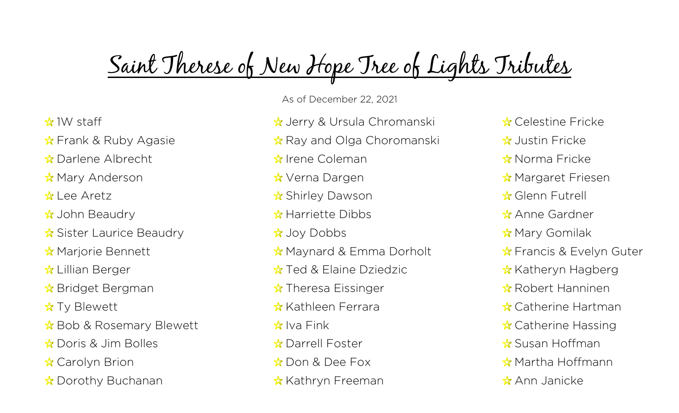## Saint Therese of New Hope Tree of Lights Tributes

- $*$  1W staff
- ☆ Frank & Ruby Agasie
- **Darlene Albrecht**
- ☆ Mary Anderson
- ☆ Lee Aretz
- $\frac{1}{2}$  John Beaudry
- $\frac{1}{2}$  Sister Laurice Beaudry
- ☆ Marjorie Bennett
- $\&$  Lillian Berger
- $\&$  Bridget Bergman
- $\frac{1}{N}$  Ty Blewett
- $\&$  Bob & Rosemary Blewett
- ☆ Doris & Jim Bolles
- ☆ Carolyn Brion
- $\&$  Dorothy Buchanan

As of December 22, 2021

- ☆ Jerry & Ursula Chromanski
- $\hat{\mathbb{R}}$  Ray and Olga Choromanski
- $\frac{1}{24}$  Irene Coleman
- ☆ Verna Dargen
- ☆ Shirley Dawson
- ☆ Harriette Dibbs
- ☆ Joy Dobbs
- $\frac{1}{N}$  Maynard & Emma Dorholt
- **☆ Ted & Elaine Dziedzic**
- $\frac{1}{N}$  Theresa Eissinger
- ☆ Kathleen Ferrara
- $\frac{1}{2}$  Iva Fink
- ☆ Darrell Foster
- ☆ Don & Dee Fox
- ☆ Kathryn Freeman
- ☆ Celestine Fricke
- $\frac{A}{2}$ , Justin Fricke
- ☆ Norma Fricke
- ☆ Margaret Friesen
- ☆ Glenn Futrell
- ☆ Anne Gardner
- ☆ Mary Gomilak
- $\frac{1}{2}$  Francis & Evelyn Guter
- $\frac{1}{\sqrt{2}}$  Katheryn Hagberg
- **Robert Hanninen**
- **☆ Catherine Hartman**
- $\&$  Catherine Hassing
- ☆ Susan Hoffman
- $\&$  Martha Hoffmann
- ☆ Ann Janicke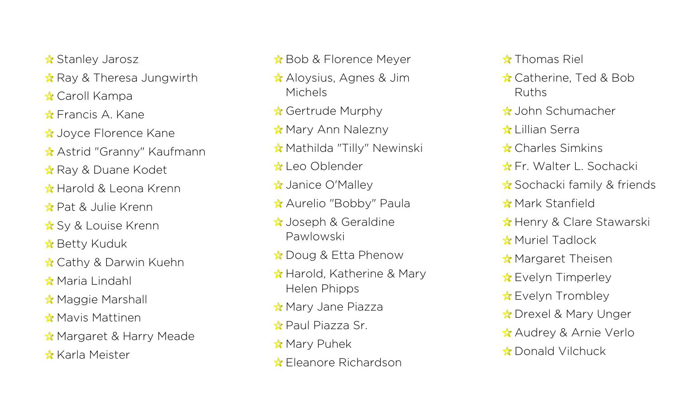- ☆ Stanley Jarosz
- $\&$  Ray & Theresa Jungwirth
- ☆ Caroll Kampa
- $\&$  Francis A. Kane
- ☆ Joyce Florence Kane
- ☆ Astrid "Granny" Kaufmann
- $\frac{1}{\sqrt{2}}$  Ray & Duane Kodet
- ☆ Harold & Leona Krenn
- ☆ Pat & Julie Krenn
- **☆ Sy & Louise Krenn**
- ☆ Betty Kuduk
- ☆ Cathy & Darwin Kuehn
- ☆ Maria Lindahl
- $\frac{1}{\sqrt{2}}$  Maggie Marshall
- ☆ Mavis Mattinen
- ☆ Margaret & Harry Meade
- ☆ Karla Meister
- $\&$  Bob & Florence Meyer
- ☆ Aloysius, Agnes & Jim Michels
- ☆ Gertrude Murphy
- ☆ Mary Ann Nalezny
- **☆ Mathilda "Tilly" Newinski**
- ☆ Leo Oblender
- ☆ Janice O'Malley
- ☆ Aurelio "Bobby" Paula
- $\&$  Joseph & Geraldine Pawlowski
- $\&$  Doug & Etta Phenow
- $\frac{1}{10}$  Harold, Katherine & Mary Helen Phipps
- $\frac{1}{N}$  Mary Jane Piazza
- ☆ Paul Piazza Sr.
- $\frac{A}{N}$  Mary Puhek
- ☆ Fleanore Richardson
- $\frac{1}{24}$  Thomas Riel
- ☆ Catherine, Ted & Bob Ruths
- John Schumacher
- ☆ Lillian Serra
- **☆ Charles Simkins**
- ☆ Fr. Walter L. Sochacki
- $\&$  Sochacki family & friends
- ☆ Mark Stanfield
- ☆ Henry & Clare Stawarski
- ☆ Muriel Tadlock
- $\frac{1}{N}$  Margaret Theisen
- $\&$  Evelyn Timperley
- $\frac{1}{2}$  Evelyn Trombley
- ☆ Drexel & Mary Unger
- **☆ Audrey & Arnie Verlo**
- ☆ Donald Vilchuck